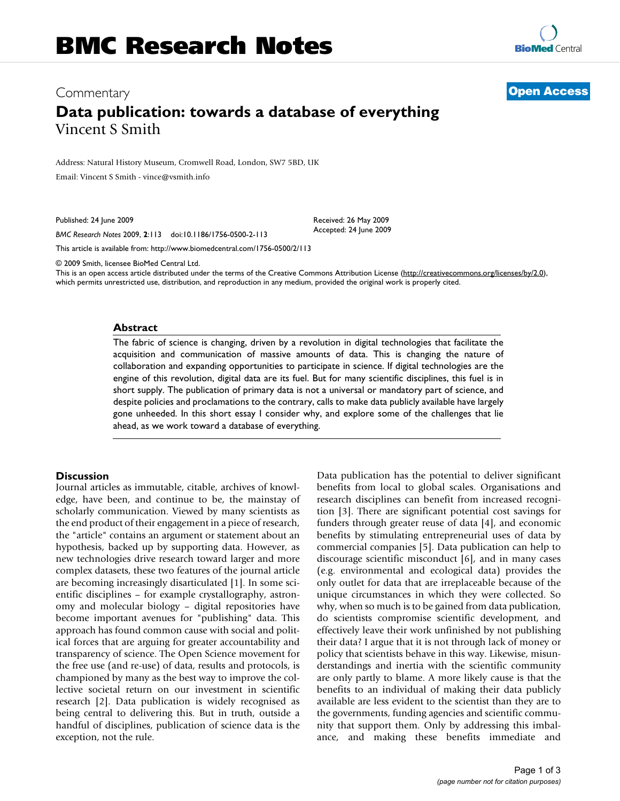# Commentary **[Open Access](http://www.biomedcentral.com/info/about/charter/) Data publication: towards a database of everything** Vincent S Smith

Address: Natural History Museum, Cromwell Road, London, SW7 5BD, UK

Email: Vincent S Smith - vince@vsmith.info

Published: 24 June 2009

*BMC Research Notes* 2009, **2**:113 doi:10.1186/1756-0500-2-113

[This article is available from: http://www.biomedcentral.com/1756-0500/2/113](http://www.biomedcentral.com/1756-0500/2/113)

© 2009 Smith, licensee BioMed Central Ltd.

This is an open access article distributed under the terms of the Creative Commons Attribution License [\(http://creativecommons.org/licenses/by/2.0\)](http://creativecommons.org/licenses/by/2.0), which permits unrestricted use, distribution, and reproduction in any medium, provided the original work is properly cited.

Received: 26 May 2009 Accepted: 24 June 2009

#### **Abstract**

The fabric of science is changing, driven by a revolution in digital technologies that facilitate the acquisition and communication of massive amounts of data. This is changing the nature of collaboration and expanding opportunities to participate in science. If digital technologies are the engine of this revolution, digital data are its fuel. But for many scientific disciplines, this fuel is in short supply. The publication of primary data is not a universal or mandatory part of science, and despite policies and proclamations to the contrary, calls to make data publicly available have largely gone unheeded. In this short essay I consider why, and explore some of the challenges that lie ahead, as we work toward a database of everything.

### **Discussion**

Journal articles as immutable, citable, archives of knowledge, have been, and continue to be, the mainstay of scholarly communication. Viewed by many scientists as the end product of their engagement in a piece of research, the "article" contains an argument or statement about an hypothesis, backed up by supporting data. However, as new technologies drive research toward larger and more complex datasets, these two features of the journal article are becoming increasingly disarticulated [1]. In some scientific disciplines – for example crystallography, astronomy and molecular biology – digital repositories have become important avenues for "publishing" data. This approach has found common cause with social and political forces that are arguing for greater accountability and transparency of science. The Open Science movement for the free use (and re-use) of data, results and protocols, is championed by many as the best way to improve the collective societal return on our investment in scientific research [2]. Data publication is widely recognised as being central to delivering this. But in truth, outside a handful of disciplines, publication of science data is the exception, not the rule.

Data publication has the potential to deliver significant benefits from local to global scales. Organisations and research disciplines can benefit from increased recognition [3]. There are significant potential cost savings for funders through greater reuse of data [4], and economic benefits by stimulating entrepreneurial uses of data by commercial companies [5]. Data publication can help to discourage scientific misconduct [6], and in many cases (e.g. environmental and ecological data) provides the only outlet for data that are irreplaceable because of the unique circumstances in which they were collected. So why, when so much is to be gained from data publication, do scientists compromise scientific development, and effectively leave their work unfinished by not publishing their data? I argue that it is not through lack of money or policy that scientists behave in this way. Likewise, misunderstandings and inertia with the scientific community are only partly to blame. A more likely cause is that the benefits to an individual of making their data publicly available are less evident to the scientist than they are to the governments, funding agencies and scientific community that support them. Only by addressing this imbalance, and making these benefits immediate and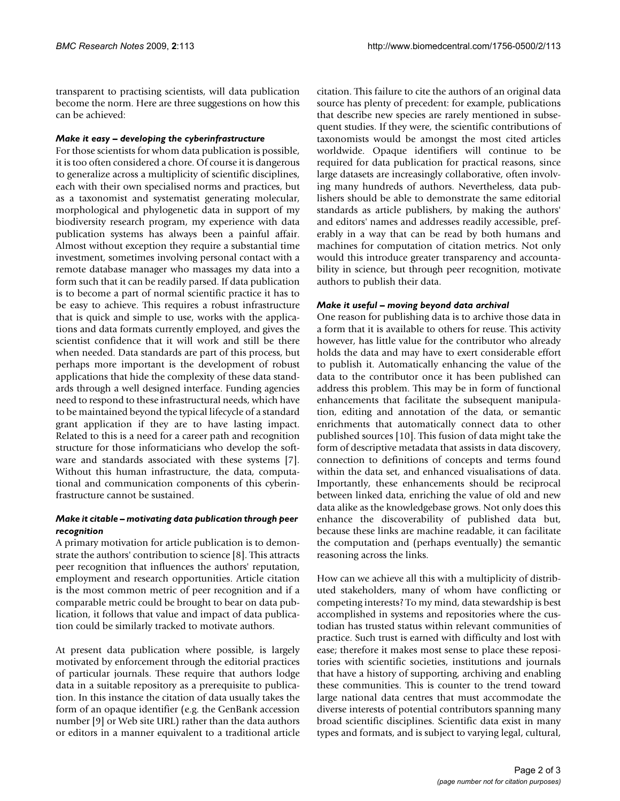transparent to practising scientists, will data publication become the norm. Here are three suggestions on how this can be achieved:

## *Make it easy – developing the cyberinfrastructure*

For those scientists for whom data publication is possible, it is too often considered a chore. Of course it is dangerous to generalize across a multiplicity of scientific disciplines, each with their own specialised norms and practices, but as a taxonomist and systematist generating molecular, morphological and phylogenetic data in support of my biodiversity research program, my experience with data publication systems has always been a painful affair. Almost without exception they require a substantial time investment, sometimes involving personal contact with a remote database manager who massages my data into a form such that it can be readily parsed. If data publication is to become a part of normal scientific practice it has to be easy to achieve. This requires a robust infrastructure that is quick and simple to use, works with the applications and data formats currently employed, and gives the scientist confidence that it will work and still be there when needed. Data standards are part of this process, but perhaps more important is the development of robust applications that hide the complexity of these data standards through a well designed interface. Funding agencies need to respond to these infrastructural needs, which have to be maintained beyond the typical lifecycle of a standard grant application if they are to have lasting impact. Related to this is a need for a career path and recognition structure for those informaticians who develop the software and standards associated with these systems [7]. Without this human infrastructure, the data, computational and communication components of this cyberinfrastructure cannot be sustained.

# *Make it citable – motivating data publication through peer recognition*

A primary motivation for article publication is to demonstrate the authors' contribution to science [8]. This attracts peer recognition that influences the authors' reputation, employment and research opportunities. Article citation is the most common metric of peer recognition and if a comparable metric could be brought to bear on data publication, it follows that value and impact of data publication could be similarly tracked to motivate authors.

At present data publication where possible, is largely motivated by enforcement through the editorial practices of particular journals. These require that authors lodge data in a suitable repository as a prerequisite to publication. In this instance the citation of data usually takes the form of an opaque identifier (e.g. the GenBank accession number [9] or Web site URL) rather than the data authors or editors in a manner equivalent to a traditional article citation. This failure to cite the authors of an original data source has plenty of precedent: for example, publications that describe new species are rarely mentioned in subsequent studies. If they were, the scientific contributions of taxonomists would be amongst the most cited articles worldwide. Opaque identifiers will continue to be required for data publication for practical reasons, since large datasets are increasingly collaborative, often involving many hundreds of authors. Nevertheless, data publishers should be able to demonstrate the same editorial standards as article publishers, by making the authors' and editors' names and addresses readily accessible, preferably in a way that can be read by both humans and machines for computation of citation metrics. Not only would this introduce greater transparency and accountability in science, but through peer recognition, motivate authors to publish their data.

## *Make it useful – moving beyond data archival*

One reason for publishing data is to archive those data in a form that it is available to others for reuse. This activity however, has little value for the contributor who already holds the data and may have to exert considerable effort to publish it. Automatically enhancing the value of the data to the contributor once it has been published can address this problem. This may be in form of functional enhancements that facilitate the subsequent manipulation, editing and annotation of the data, or semantic enrichments that automatically connect data to other published sources [10]. This fusion of data might take the form of descriptive metadata that assists in data discovery, connection to definitions of concepts and terms found within the data set, and enhanced visualisations of data. Importantly, these enhancements should be reciprocal between linked data, enriching the value of old and new data alike as the knowledgebase grows. Not only does this enhance the discoverability of published data but, because these links are machine readable, it can facilitate the computation and (perhaps eventually) the semantic reasoning across the links.

How can we achieve all this with a multiplicity of distributed stakeholders, many of whom have conflicting or competing interests? To my mind, data stewardship is best accomplished in systems and repositories where the custodian has trusted status within relevant communities of practice. Such trust is earned with difficulty and lost with ease; therefore it makes most sense to place these repositories with scientific societies, institutions and journals that have a history of supporting, archiving and enabling these communities. This is counter to the trend toward large national data centres that must accommodate the diverse interests of potential contributors spanning many broad scientific disciplines. Scientific data exist in many types and formats, and is subject to varying legal, cultural,